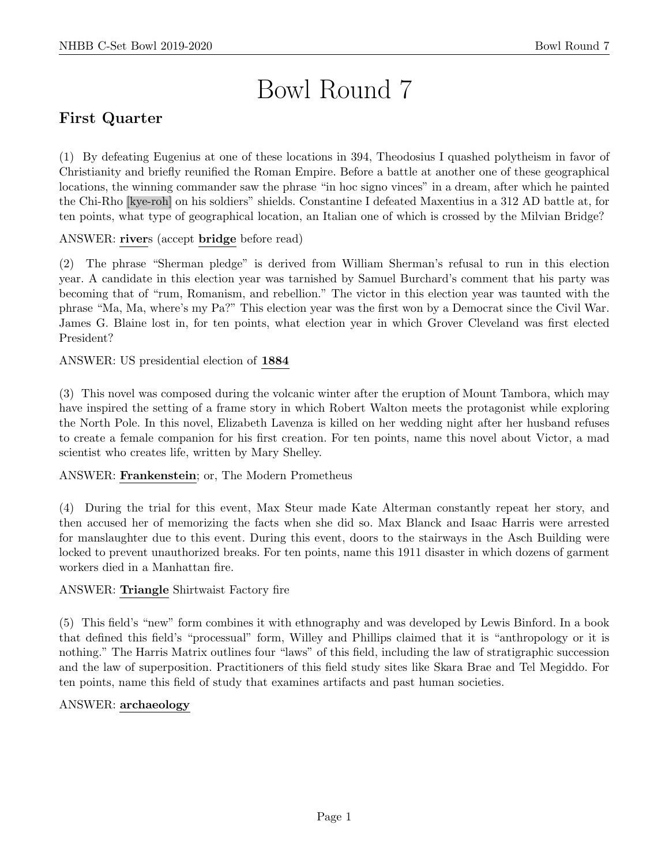# Bowl Round 7

# First Quarter

(1) By defeating Eugenius at one of these locations in 394, Theodosius I quashed polytheism in favor of Christianity and briefly reunified the Roman Empire. Before a battle at another one of these geographical locations, the winning commander saw the phrase "in hoc signo vinces" in a dream, after which he painted the Chi-Rho [kye-roh] on his soldiers" shields. Constantine I defeated Maxentius in a 312 AD battle at, for ten points, what type of geographical location, an Italian one of which is crossed by the Milvian Bridge?

ANSWER: rivers (accept bridge before read)

(2) The phrase "Sherman pledge" is derived from William Sherman's refusal to run in this election year. A candidate in this election year was tarnished by Samuel Burchard's comment that his party was becoming that of "rum, Romanism, and rebellion." The victor in this election year was taunted with the phrase "Ma, Ma, where's my Pa?" This election year was the first won by a Democrat since the Civil War. James G. Blaine lost in, for ten points, what election year in which Grover Cleveland was first elected President?

ANSWER: US presidential election of 1884

(3) This novel was composed during the volcanic winter after the eruption of Mount Tambora, which may have inspired the setting of a frame story in which Robert Walton meets the protagonist while exploring the North Pole. In this novel, Elizabeth Lavenza is killed on her wedding night after her husband refuses to create a female companion for his first creation. For ten points, name this novel about Victor, a mad scientist who creates life, written by Mary Shelley.

ANSWER: Frankenstein; or, The Modern Prometheus

(4) During the trial for this event, Max Steur made Kate Alterman constantly repeat her story, and then accused her of memorizing the facts when she did so. Max Blanck and Isaac Harris were arrested for manslaughter due to this event. During this event, doors to the stairways in the Asch Building were locked to prevent unauthorized breaks. For ten points, name this 1911 disaster in which dozens of garment workers died in a Manhattan fire.

# ANSWER: Triangle Shirtwaist Factory fire

(5) This field's "new" form combines it with ethnography and was developed by Lewis Binford. In a book that defined this field's "processual" form, Willey and Phillips claimed that it is "anthropology or it is nothing." The Harris Matrix outlines four "laws" of this field, including the law of stratigraphic succession and the law of superposition. Practitioners of this field study sites like Skara Brae and Tel Megiddo. For ten points, name this field of study that examines artifacts and past human societies.

# ANSWER: archaeology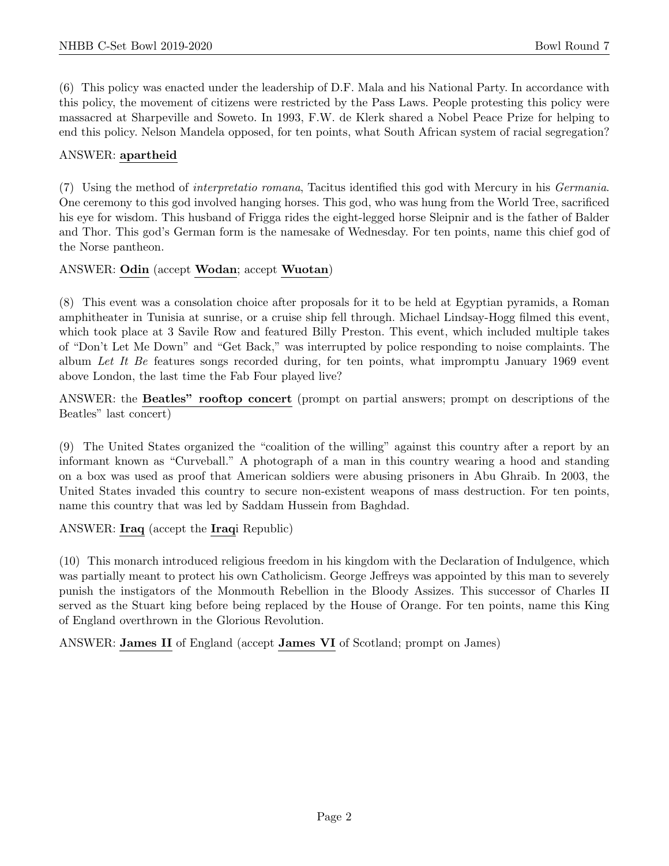(6) This policy was enacted under the leadership of D.F. Mala and his National Party. In accordance with this policy, the movement of citizens were restricted by the Pass Laws. People protesting this policy were massacred at Sharpeville and Soweto. In 1993, F.W. de Klerk shared a Nobel Peace Prize for helping to end this policy. Nelson Mandela opposed, for ten points, what South African system of racial segregation?

# ANSWER: apartheid

(7) Using the method of interpretatio romana, Tacitus identified this god with Mercury in his Germania. One ceremony to this god involved hanging horses. This god, who was hung from the World Tree, sacrificed his eye for wisdom. This husband of Frigga rides the eight-legged horse Sleipnir and is the father of Balder and Thor. This god's German form is the namesake of Wednesday. For ten points, name this chief god of the Norse pantheon.

# ANSWER: Odin (accept Wodan; accept Wuotan)

(8) This event was a consolation choice after proposals for it to be held at Egyptian pyramids, a Roman amphitheater in Tunisia at sunrise, or a cruise ship fell through. Michael Lindsay-Hogg filmed this event, which took place at 3 Savile Row and featured Billy Preston. This event, which included multiple takes of "Don't Let Me Down" and "Get Back," was interrupted by police responding to noise complaints. The album Let It Be features songs recorded during, for ten points, what impromptu January 1969 event above London, the last time the Fab Four played live?

ANSWER: the Beatles" rooftop concert (prompt on partial answers; prompt on descriptions of the Beatles" last concert)

(9) The United States organized the "coalition of the willing" against this country after a report by an informant known as "Curveball." A photograph of a man in this country wearing a hood and standing on a box was used as proof that American soldiers were abusing prisoners in Abu Ghraib. In 2003, the United States invaded this country to secure non-existent weapons of mass destruction. For ten points, name this country that was led by Saddam Hussein from Baghdad.

ANSWER: Iraq (accept the Iraqi Republic)

(10) This monarch introduced religious freedom in his kingdom with the Declaration of Indulgence, which was partially meant to protect his own Catholicism. George Jeffreys was appointed by this man to severely punish the instigators of the Monmouth Rebellion in the Bloody Assizes. This successor of Charles II served as the Stuart king before being replaced by the House of Orange. For ten points, name this King of England overthrown in the Glorious Revolution.

ANSWER: James II of England (accept James VI of Scotland; prompt on James)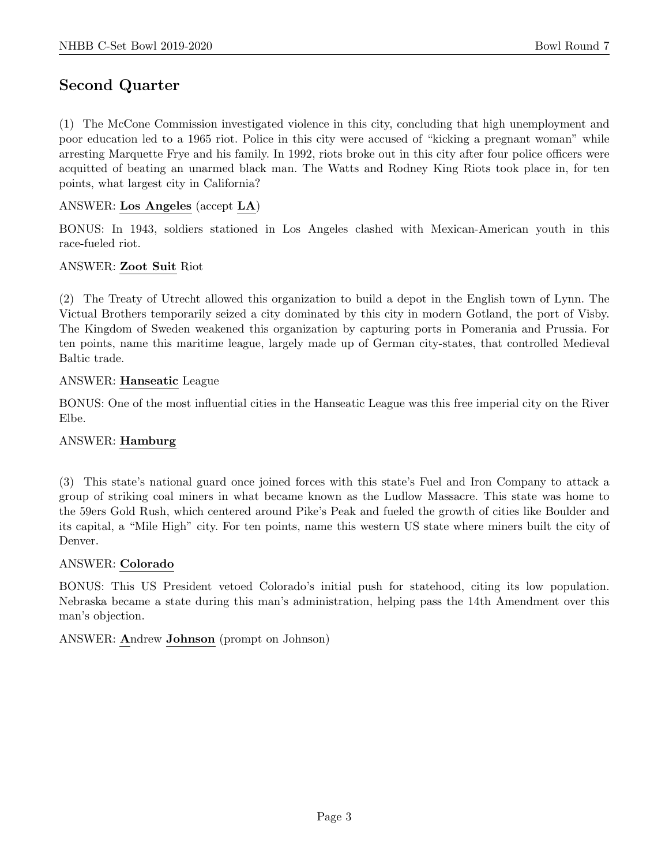# Second Quarter

(1) The McCone Commission investigated violence in this city, concluding that high unemployment and poor education led to a 1965 riot. Police in this city were accused of "kicking a pregnant woman" while arresting Marquette Frye and his family. In 1992, riots broke out in this city after four police officers were acquitted of beating an unarmed black man. The Watts and Rodney King Riots took place in, for ten points, what largest city in California?

# ANSWER: Los Angeles (accept LA)

BONUS: In 1943, soldiers stationed in Los Angeles clashed with Mexican-American youth in this race-fueled riot.

# ANSWER: Zoot Suit Riot

(2) The Treaty of Utrecht allowed this organization to build a depot in the English town of Lynn. The Victual Brothers temporarily seized a city dominated by this city in modern Gotland, the port of Visby. The Kingdom of Sweden weakened this organization by capturing ports in Pomerania and Prussia. For ten points, name this maritime league, largely made up of German city-states, that controlled Medieval Baltic trade.

# ANSWER: Hanseatic League

BONUS: One of the most influential cities in the Hanseatic League was this free imperial city on the River Elbe.

# ANSWER: Hamburg

(3) This state's national guard once joined forces with this state's Fuel and Iron Company to attack a group of striking coal miners in what became known as the Ludlow Massacre. This state was home to the 59ers Gold Rush, which centered around Pike's Peak and fueled the growth of cities like Boulder and its capital, a "Mile High" city. For ten points, name this western US state where miners built the city of Denver.

# ANSWER: Colorado

BONUS: This US President vetoed Colorado's initial push for statehood, citing its low population. Nebraska became a state during this man's administration, helping pass the 14th Amendment over this man's objection.

# ANSWER: Andrew Johnson (prompt on Johnson)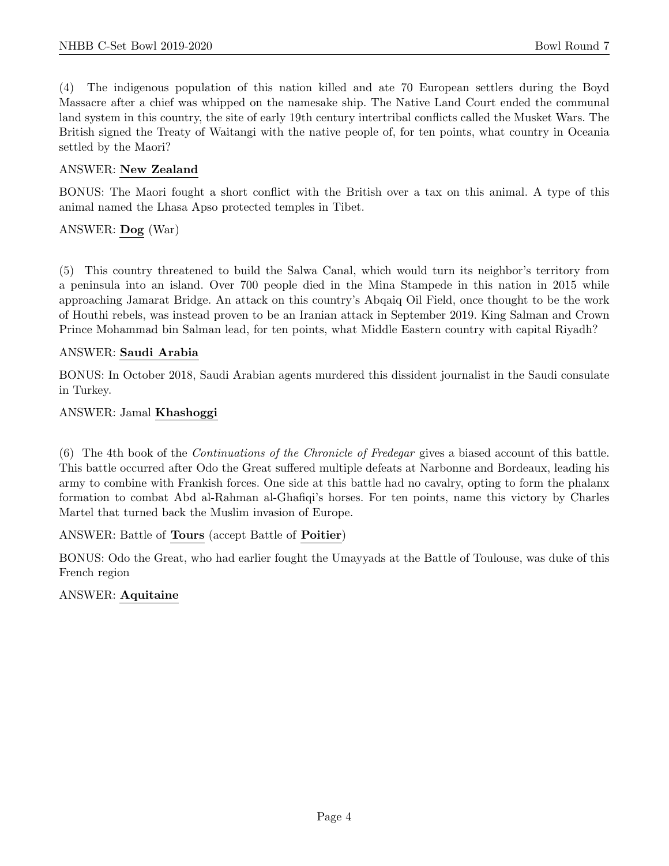(4) The indigenous population of this nation killed and ate 70 European settlers during the Boyd Massacre after a chief was whipped on the namesake ship. The Native Land Court ended the communal land system in this country, the site of early 19th century intertribal conflicts called the Musket Wars. The British signed the Treaty of Waitangi with the native people of, for ten points, what country in Oceania settled by the Maori?

# ANSWER: New Zealand

BONUS: The Maori fought a short conflict with the British over a tax on this animal. A type of this animal named the Lhasa Apso protected temples in Tibet.

# ANSWER: Dog (War)

(5) This country threatened to build the Salwa Canal, which would turn its neighbor's territory from a peninsula into an island. Over 700 people died in the Mina Stampede in this nation in 2015 while approaching Jamarat Bridge. An attack on this country's Abqaiq Oil Field, once thought to be the work of Houthi rebels, was instead proven to be an Iranian attack in September 2019. King Salman and Crown Prince Mohammad bin Salman lead, for ten points, what Middle Eastern country with capital Riyadh?

# ANSWER: Saudi Arabia

BONUS: In October 2018, Saudi Arabian agents murdered this dissident journalist in the Saudi consulate in Turkey.

# ANSWER: Jamal Khashoggi

(6) The 4th book of the Continuations of the Chronicle of Fredegar gives a biased account of this battle. This battle occurred after Odo the Great suffered multiple defeats at Narbonne and Bordeaux, leading his army to combine with Frankish forces. One side at this battle had no cavalry, opting to form the phalanx formation to combat Abd al-Rahman al-Ghafiqi's horses. For ten points, name this victory by Charles Martel that turned back the Muslim invasion of Europe.

# ANSWER: Battle of Tours (accept Battle of Poitier)

BONUS: Odo the Great, who had earlier fought the Umayyads at the Battle of Toulouse, was duke of this French region

# ANSWER: Aquitaine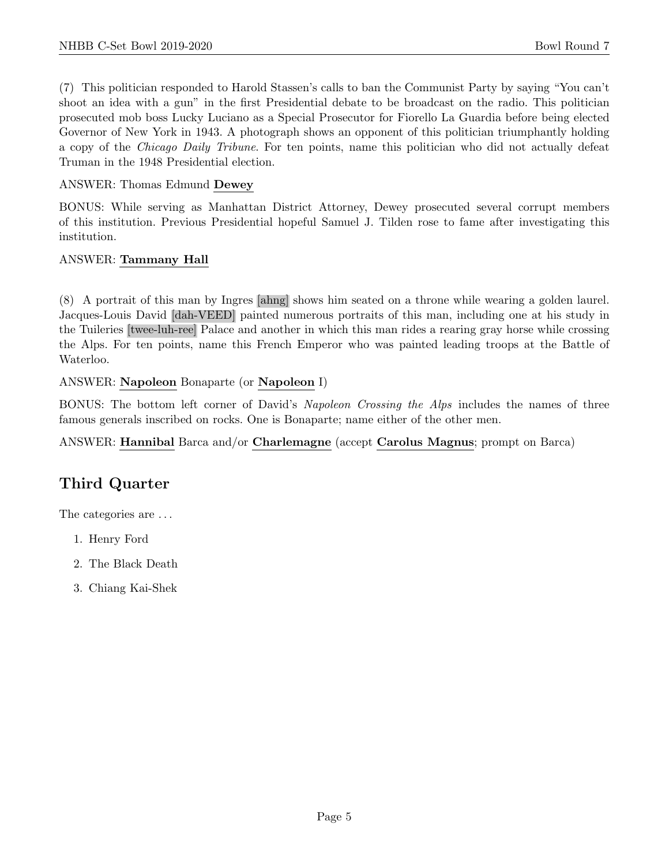(7) This politician responded to Harold Stassen's calls to ban the Communist Party by saying "You can't shoot an idea with a gun" in the first Presidential debate to be broadcast on the radio. This politician prosecuted mob boss Lucky Luciano as a Special Prosecutor for Fiorello La Guardia before being elected Governor of New York in 1943. A photograph shows an opponent of this politician triumphantly holding a copy of the Chicago Daily Tribune. For ten points, name this politician who did not actually defeat Truman in the 1948 Presidential election.

ANSWER: Thomas Edmund Dewey

BONUS: While serving as Manhattan District Attorney, Dewey prosecuted several corrupt members of this institution. Previous Presidential hopeful Samuel J. Tilden rose to fame after investigating this institution.

# ANSWER: Tammany Hall

(8) A portrait of this man by Ingres [ahng] shows him seated on a throne while wearing a golden laurel. Jacques-Louis David [dah-VEED] painted numerous portraits of this man, including one at his study in the Tuileries [twee-luh-ree] Palace and another in which this man rides a rearing gray horse while crossing the Alps. For ten points, name this French Emperor who was painted leading troops at the Battle of Waterloo.

ANSWER: Napoleon Bonaparte (or Napoleon I)

BONUS: The bottom left corner of David's Napoleon Crossing the Alps includes the names of three famous generals inscribed on rocks. One is Bonaparte; name either of the other men.

ANSWER: Hannibal Barca and/or Charlemagne (accept Carolus Magnus; prompt on Barca)

# Third Quarter

The categories are . . .

- 1. Henry Ford
- 2. The Black Death
- 3. Chiang Kai-Shek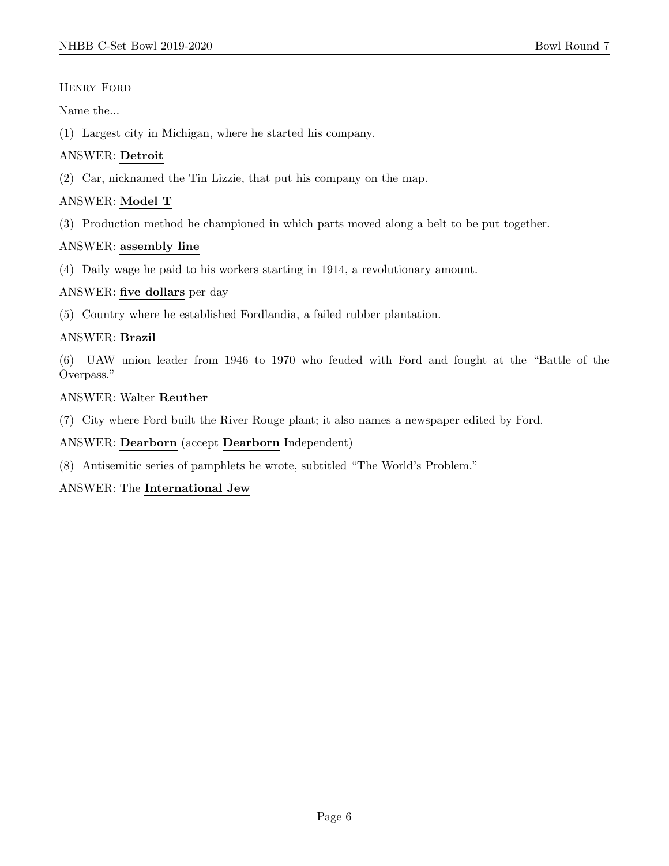# Henry Ford

Name the...

(1) Largest city in Michigan, where he started his company.

# ANSWER: Detroit

(2) Car, nicknamed the Tin Lizzie, that put his company on the map.

# ANSWER: Model T

(3) Production method he championed in which parts moved along a belt to be put together.

# ANSWER: assembly line

(4) Daily wage he paid to his workers starting in 1914, a revolutionary amount.

# ANSWER: five dollars per day

(5) Country where he established Fordlandia, a failed rubber plantation.

# ANSWER: Brazil

(6) UAW union leader from 1946 to 1970 who feuded with Ford and fought at the "Battle of the Overpass."

# ANSWER: Walter Reuther

(7) City where Ford built the River Rouge plant; it also names a newspaper edited by Ford.

# ANSWER: Dearborn (accept Dearborn Independent)

(8) Antisemitic series of pamphlets he wrote, subtitled "The World's Problem."

# ANSWER: The International Jew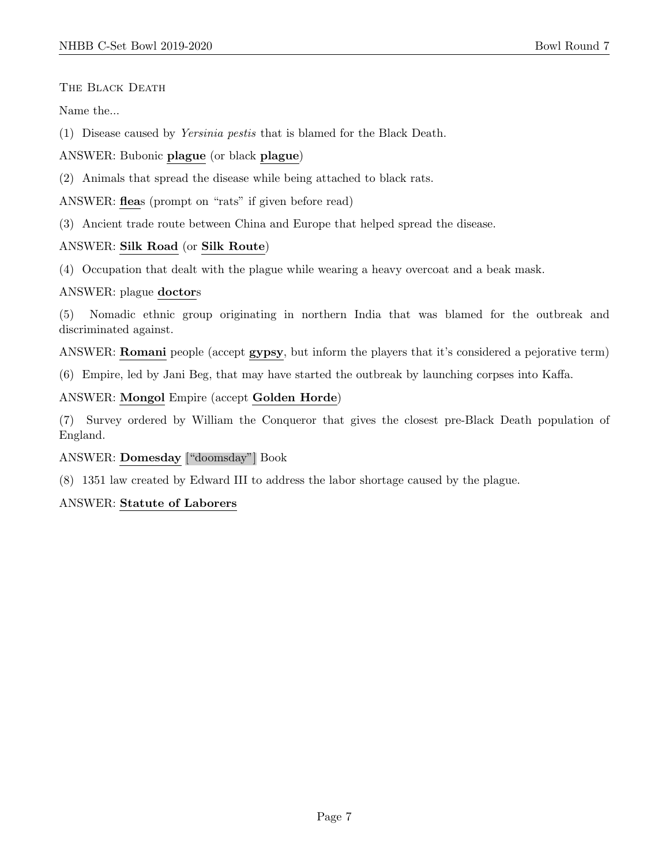THE BLACK DEATH

Name the...

(1) Disease caused by Yersinia pestis that is blamed for the Black Death.

ANSWER: Bubonic plague (or black plague)

(2) Animals that spread the disease while being attached to black rats.

ANSWER: fleas (prompt on "rats" if given before read)

(3) Ancient trade route between China and Europe that helped spread the disease.

# ANSWER: Silk Road (or Silk Route)

(4) Occupation that dealt with the plague while wearing a heavy overcoat and a beak mask.

# ANSWER: plague doctors

(5) Nomadic ethnic group originating in northern India that was blamed for the outbreak and discriminated against.

ANSWER: **Romani** people (accept gypsy, but inform the players that it's considered a pejorative term)

(6) Empire, led by Jani Beg, that may have started the outbreak by launching corpses into Kaffa.

ANSWER: Mongol Empire (accept Golden Horde)

(7) Survey ordered by William the Conqueror that gives the closest pre-Black Death population of England.

# ANSWER: Domesday ["doomsday"] Book

(8) 1351 law created by Edward III to address the labor shortage caused by the plague.

# ANSWER: Statute of Laborers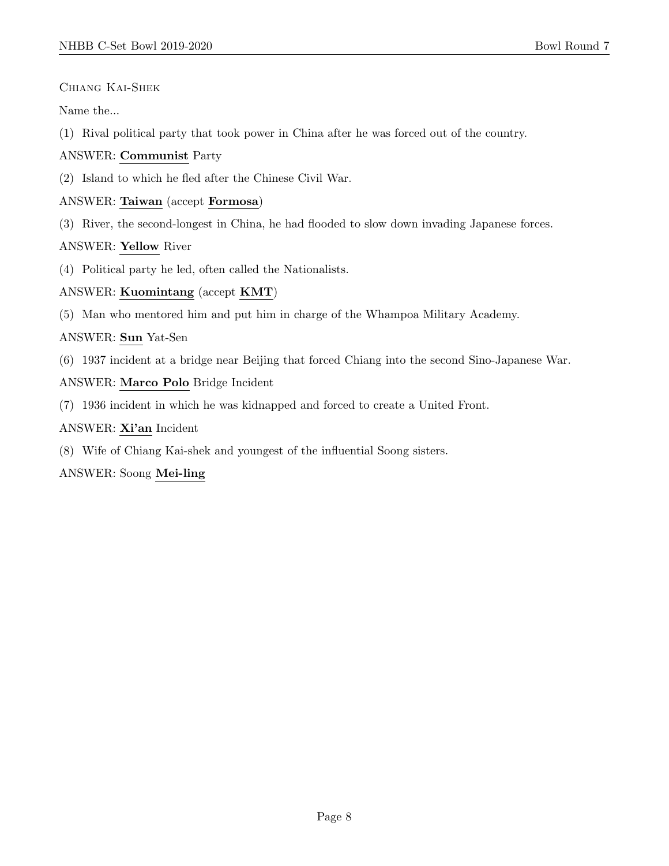# Chiang Kai-Shek

Name the...

(1) Rival political party that took power in China after he was forced out of the country.

#### ANSWER: Communist Party

(2) Island to which he fled after the Chinese Civil War.

# ANSWER: Taiwan (accept Formosa)

(3) River, the second-longest in China, he had flooded to slow down invading Japanese forces.

# ANSWER: Yellow River

(4) Political party he led, often called the Nationalists.

# ANSWER: Kuomintang (accept KMT)

(5) Man who mentored him and put him in charge of the Whampoa Military Academy.

# ANSWER: Sun Yat-Sen

(6) 1937 incident at a bridge near Beijing that forced Chiang into the second Sino-Japanese War.

# ANSWER: Marco Polo Bridge Incident

(7) 1936 incident in which he was kidnapped and forced to create a United Front.

#### ANSWER: Xi'an Incident

(8) Wife of Chiang Kai-shek and youngest of the influential Soong sisters.

# ANSWER: Soong Mei-ling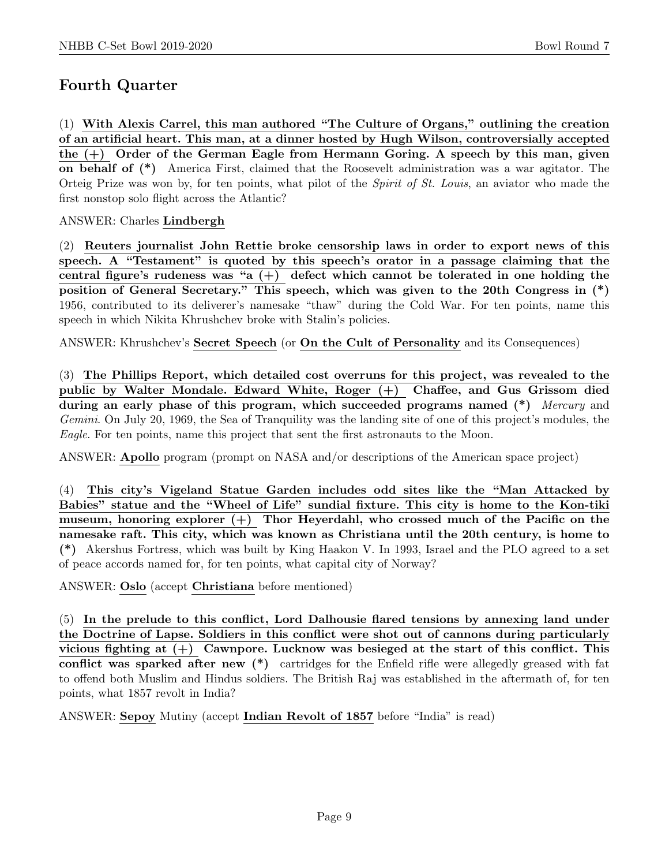# Fourth Quarter

(1) With Alexis Carrel, this man authored "The Culture of Organs," outlining the creation of an artificial heart. This man, at a dinner hosted by Hugh Wilson, controversially accepted the (+) Order of the German Eagle from Hermann Goring. A speech by this man, given on behalf of (\*) America First, claimed that the Roosevelt administration was a war agitator. The Orteig Prize was won by, for ten points, what pilot of the Spirit of St. Louis, an aviator who made the first nonstop solo flight across the Atlantic?

# ANSWER: Charles Lindbergh

(2) Reuters journalist John Rettie broke censorship laws in order to export news of this speech. A "Testament" is quoted by this speech's orator in a passage claiming that the central figure's rudeness was "a  $(+)$  defect which cannot be tolerated in one holding the position of General Secretary." This speech, which was given to the 20th Congress in (\*) 1956, contributed to its deliverer's namesake "thaw" during the Cold War. For ten points, name this speech in which Nikita Khrushchev broke with Stalin's policies.

ANSWER: Khrushchev's Secret Speech (or On the Cult of Personality and its Consequences)

(3) The Phillips Report, which detailed cost overruns for this project, was revealed to the public by Walter Mondale. Edward White, Roger (+) Chaffee, and Gus Grissom died during an early phase of this program, which succeeded programs named (\*) Mercury and Gemini. On July 20, 1969, the Sea of Tranquility was the landing site of one of this project's modules, the Eagle. For ten points, name this project that sent the first astronauts to the Moon.

ANSWER: Apollo program (prompt on NASA and/or descriptions of the American space project)

(4) This city's Vigeland Statue Garden includes odd sites like the "Man Attacked by Babies" statue and the "Wheel of Life" sundial fixture. This city is home to the Kon-tiki museum, honoring explorer  $(+)$  Thor Heyerdahl, who crossed much of the Pacific on the namesake raft. This city, which was known as Christiana until the 20th century, is home to (\*) Akershus Fortress, which was built by King Haakon V. In 1993, Israel and the PLO agreed to a set of peace accords named for, for ten points, what capital city of Norway?

ANSWER: Oslo (accept Christiana before mentioned)

(5) In the prelude to this conflict, Lord Dalhousie flared tensions by annexing land under the Doctrine of Lapse. Soldiers in this conflict were shot out of cannons during particularly vicious fighting at  $(+)$  Cawnpore. Lucknow was besieged at the start of this conflict. This conflict was sparked after new (\*) cartridges for the Enfield rifle were allegedly greased with fat to offend both Muslim and Hindus soldiers. The British Raj was established in the aftermath of, for ten points, what 1857 revolt in India?

ANSWER: Sepoy Mutiny (accept Indian Revolt of 1857 before "India" is read)